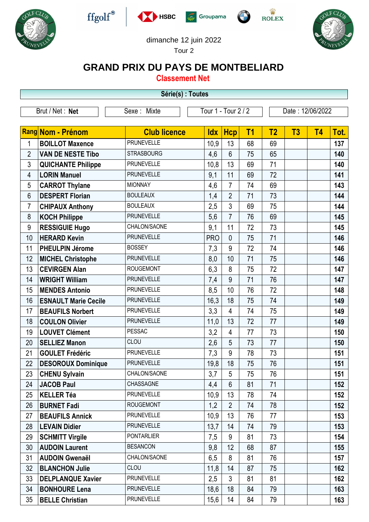











## dimanche 12 juin 2022

Tour 2

## **GRAND PRIX DU PAYS DE MONTBELIARD**

**Classement Net**

**Série(s) : Toutes**

|                 | Serie(s) : Toutes           |                                    |            |                |                  |                |                |           |      |  |
|-----------------|-----------------------------|------------------------------------|------------|----------------|------------------|----------------|----------------|-----------|------|--|
| Brut / Net: Net |                             | Tour 1 - Tour 2 / 2<br>Sexe: Mixte |            |                | Date: 12/06/2022 |                |                |           |      |  |
|                 |                             |                                    |            |                |                  |                |                |           |      |  |
|                 | <b>Rang Nom - Prénom</b>    | <b>Club licence</b>                | <b>Idx</b> | <b>Hcp</b>     | T <sub>1</sub>   | T <sub>2</sub> | T <sub>3</sub> | <b>T4</b> | Tot. |  |
| 1               | <b>BOILLOT Maxence</b>      | <b>PRUNEVELLE</b>                  | 10,9       | 13             | 68               | 69             |                |           | 137  |  |
| $\overline{2}$  | <b>VAN DE NESTE Tibo</b>    | <b>STRASBOURG</b>                  | 4,6        | $6\phantom{1}$ | 75               | 65             |                |           | 140  |  |
| 3               | <b>QUICHANTE Philippe</b>   | <b>PRUNEVELLE</b>                  | 10,8       | 13             | 69               | 71             |                |           | 140  |  |
| 4               | <b>LORIN Manuel</b>         | <b>PRUNEVELLE</b>                  | 9,1        | 11             | 69               | 72             |                |           | 141  |  |
| 5               | <b>CARROT Thylane</b>       | <b>MIONNAY</b>                     | 4,6        | $\overline{7}$ | 74               | 69             |                |           | 143  |  |
| 6               | <b>DESPERT Florian</b>      | <b>BOULEAUX</b>                    | 1,4        | $\overline{2}$ | 71               | 73             |                |           | 144  |  |
| $\overline{7}$  | <b>CHIPAUX Anthony</b>      | <b>BOULEAUX</b>                    | 2,5        | 3              | 69               | 75             |                |           | 144  |  |
| 8               | <b>KOCH Philippe</b>        | <b>PRUNEVELLE</b>                  | 5,6        | $\overline{7}$ | 76               | 69             |                |           | 145  |  |
| 9               | <b>RESSIGUIE Hugo</b>       | CHALON/SAONE                       | 9,1        | 11             | 72               | 73             |                |           | 145  |  |
| 10              | <b>HERARD Kevin</b>         | <b>PRUNEVELLE</b>                  | <b>PRO</b> | $\mathbf{0}$   | 75               | 71             |                |           | 146  |  |
| 11              | <b>PHEULPIN Jérome</b>      | <b>BOSSEY</b>                      | 7,3        | 9              | 72               | 74             |                |           | 146  |  |
| 12              | <b>MICHEL Christophe</b>    | <b>PRUNEVELLE</b>                  | 8,0        | 10             | 71               | 75             |                |           | 146  |  |
| 13              | <b>CEVIRGEN Alan</b>        | <b>ROUGEMONT</b>                   | 6,3        | 8              | 75               | 72             |                |           | 147  |  |
| 14              | <b>WRIGHT William</b>       | <b>PRUNEVELLE</b>                  | 7,4        | 9              | 71               | 76             |                |           | 147  |  |
| 15              | <b>MENDES Antonio</b>       | <b>PRUNEVELLE</b>                  | 8,5        | 10             | 76               | 72             |                |           | 148  |  |
| 16              | <b>ESNAULT Marie Cecile</b> | <b>PRUNEVELLE</b>                  | 16,3       | 18             | 75               | 74             |                |           | 149  |  |
| 17              | <b>BEAUFILS Norbert</b>     | <b>PRUNEVELLE</b>                  | 3,3        | $\overline{4}$ | 74               | 75             |                |           | 149  |  |
| 18              | <b>COULON Olivier</b>       | <b>PRUNEVELLE</b>                  | 11,0       | 13             | 72               | 77             |                |           | 149  |  |
| 19              | <b>LOUVET Clément</b>       | <b>PESSAC</b>                      | 3,2        | 4              | 77               | 73             |                |           | 150  |  |
| 20              | <b>SELLIEZ Manon</b>        | CLOU                               | 2,6        | 5              | 73               | 77             |                |           | 150  |  |
| 21              | <b>GOULET Frédéric</b>      | <b>PRUNEVELLE</b>                  | 7,3        | 9              | 78               | 73             |                |           | 151  |  |
| 22              | <b>DESOROUX Dominique</b>   | <b>PRUNEVELLE</b>                  | 19,8       | 18             | 75               | 76             |                |           | 151  |  |
| 23              | <b>CHENU Sylvain</b>        | CHALON/SAONE                       | 3,7        | 5              | 75               | 76             |                |           | 151  |  |
| 24              | <b>JACOB Paul</b>           | CHASSAGNE                          | 4,4        | $6\phantom{1}$ | 81               | 71             |                |           | 152  |  |
| 25              | <b>KELLER Téa</b>           | <b>PRUNEVELLE</b>                  | 10,9       | 13             | 78               | 74             |                |           | 152  |  |
| 26              | <b>BURNET Fadi</b>          | <b>ROUGEMONT</b>                   | 1,2        | $\overline{2}$ | 74               | 78             |                |           | 152  |  |
| 27              | <b>BEAUFILS Annick</b>      | <b>PRUNEVELLE</b>                  | 10,9       | 13             | 76               | 77             |                |           | 153  |  |
| 28              | <b>LEVAIN Didier</b>        | <b>PRUNEVELLE</b>                  | 13,7       | 14             | 74               | 79             |                |           | 153  |  |
| 29              | <b>SCHMITT Virgile</b>      | <b>PONTARLIER</b>                  | 7,5        | 9              | 81               | 73             |                |           | 154  |  |
| 30              | <b>AUDOIN Laurent</b>       | <b>BESANCON</b>                    | 9,8        | 12             | 68               | 87             |                |           | 155  |  |
| 31              | <b>AUDOIN Gwenaël</b>       | CHALON/SAONE                       | 6,5        | 8              | 81               | 76             |                |           | 157  |  |
| 32              | <b>BLANCHON Julie</b>       | CLOU                               | 11,8       | 14             | 87               | 75             |                |           | 162  |  |
| 33              | <b>DELPLANQUE Xavier</b>    | <b>PRUNEVELLE</b>                  | 2,5        | $\mathfrak{Z}$ | 81               | 81             |                |           | 162  |  |
| 34              | <b>BONHOURE Lena</b>        | <b>PRUNEVELLE</b>                  | 18,6       | 18             | 84               | 79             |                |           | 163  |  |
| 35              | <b>BELLE Christian</b>      | <b>PRUNEVELLE</b>                  | 15,6       | 14             | 84               | 79             |                |           | 163  |  |